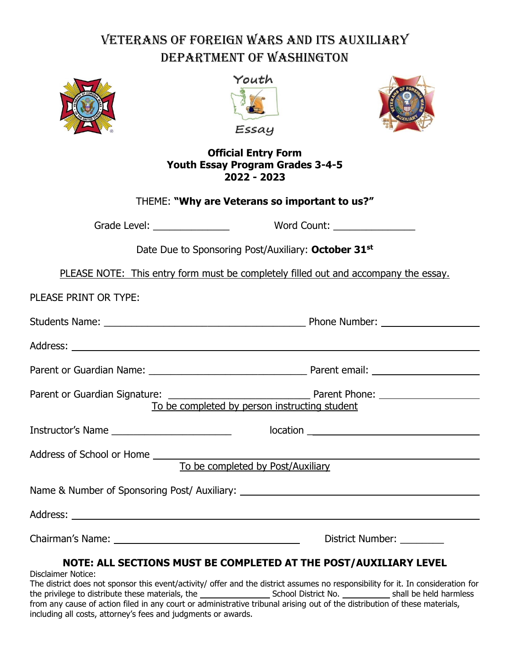# Veterans of Foreign Wars and Its Auxiliary Department of Washington







#### **Official Entry Form Youth Essay Program Grades 3-4-5 2022 - 2023**

| THEME: "Why are Veterans so important to us?"                                       |                           |
|-------------------------------------------------------------------------------------|---------------------------|
|                                                                                     |                           |
| Date Due to Sponsoring Post/Auxiliary: October 31st                                 |                           |
| PLEASE NOTE: This entry form must be completely filled out and accompany the essay. |                           |
| PLEASE PRINT OR TYPE:                                                               |                           |
|                                                                                     |                           |
|                                                                                     |                           |
|                                                                                     |                           |
| To be completed by person instructing student                                       |                           |
| Instructor's Name ____________________________    location ______________________   |                           |
| Address of School or Home<br>To be completed by Post/Auxiliary                      |                           |
| Name & Number of Sponsoring Post/ Auxiliary: ___________________________________    |                           |
|                                                                                     |                           |
|                                                                                     | District Number: ________ |
| NATE ALL AFATTANA MUAT BE AAMBLETER AT TUE BAAT (AUVALIAN) LEVEL                    |                           |

### **NOTE: ALL SECTIONS MUST BE COMPLETED AT THE POST/AUXILIARY LEVEL**

Disclaimer Notice:

The district does not sponsor this event/activity/ offer and the district assumes no responsibility for it. In consideration for the privilege to distribute these materials, the School District No. School District No. Shall be held harmless from any cause of action filed in any court or administrative tribunal arising out of the distribution of these materials, including all costs, attorney's fees and judgments or awards.